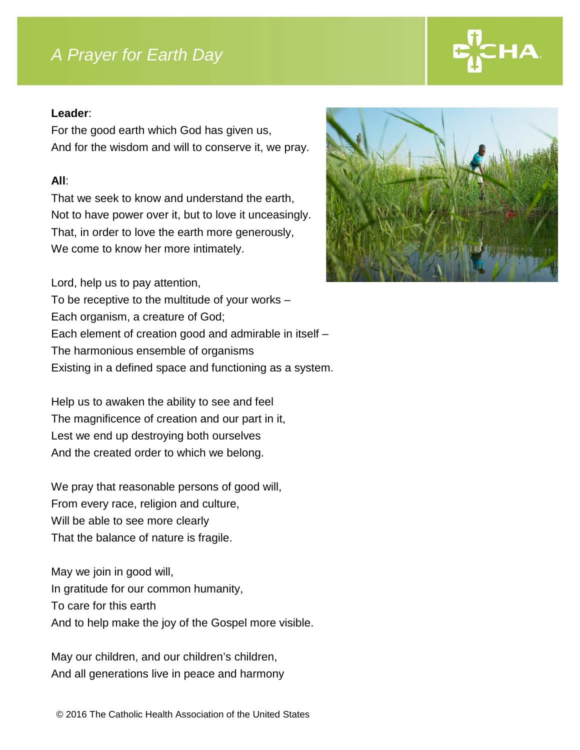# *A Prayer for Earth Day*

### **Leader**:

For the good earth which God has given us, And for the wisdom and will to conserve it, we pray.

## **All**:

That we seek to know and understand the earth, Not to have power over it, but to love it unceasingly. That, in order to love the earth more generously, We come to know her more intimately.

Lord, help us to pay attention, To be receptive to the multitude of your works – Each organism, a creature of God; Each element of creation good and admirable in itself – The harmonious ensemble of organisms Existing in a defined space and functioning as a system.

Help us to awaken the ability to see and feel The magnificence of creation and our part in it, Lest we end up destroying both ourselves And the created order to which we belong.

We pray that reasonable persons of good will, From every race, religion and culture, Will be able to see more clearly That the balance of nature is fragile.

May we join in good will, In gratitude for our common humanity, To care for this earth And to help make the joy of the Gospel more visible.

May our children, and our children's children, And all generations live in peace and harmony